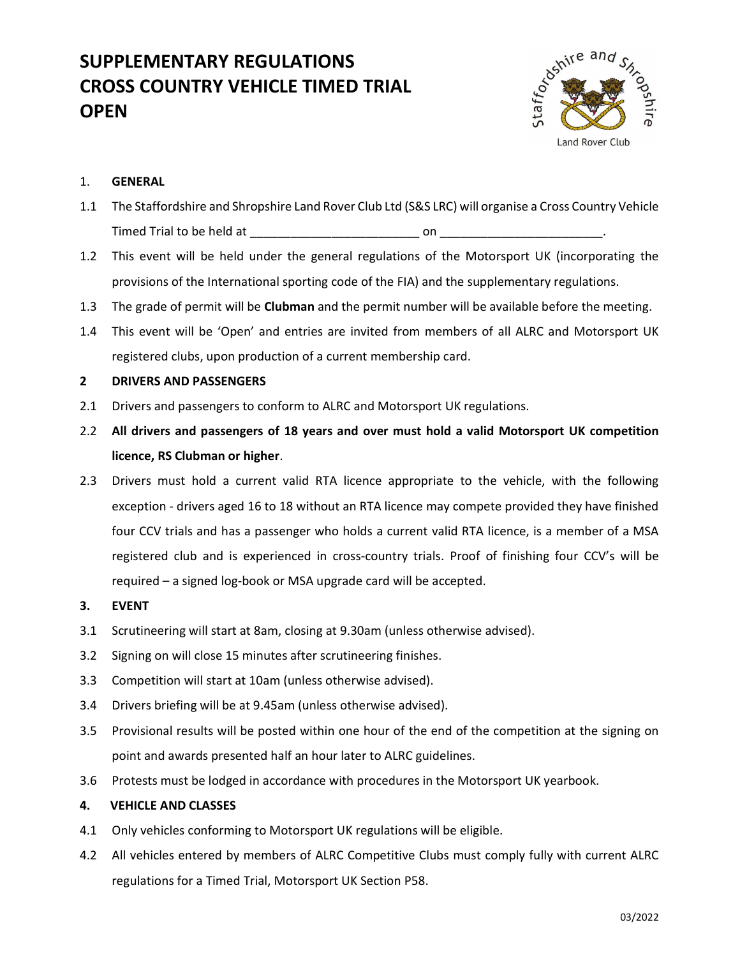# SUPPLEMENTARY REGULATIONS CROSS COUNTRY VEHICLE TIMED TRIAL **OPEN**



# 1. GENERAL

- 1.1 The Staffordshire and Shropshire Land Rover Club Ltd (S&S LRC) will organise a Cross Country Vehicle Timed Trial to be held at the set of the set of the set of the set of the set of the set of the set of the set o
- 1.2 This event will be held under the general regulations of the Motorsport UK (incorporating the provisions of the International sporting code of the FIA) and the supplementary regulations.
- 1.3 The grade of permit will be **Clubman** and the permit number will be available before the meeting.
- 1.4 This event will be 'Open' and entries are invited from members of all ALRC and Motorsport UK registered clubs, upon production of a current membership card.

# 2 DRIVERS AND PASSENGERS

- 2.1 Drivers and passengers to conform to ALRC and Motorsport UK regulations.
- 2.2 All drivers and passengers of 18 years and over must hold a valid Motorsport UK competition licence, RS Clubman or higher.
- 2.3 Drivers must hold a current valid RTA licence appropriate to the vehicle, with the following exception - drivers aged 16 to 18 without an RTA licence may compete provided they have finished four CCV trials and has a passenger who holds a current valid RTA licence, is a member of a MSA registered club and is experienced in cross-country trials. Proof of finishing four CCV's will be required – a signed log-book or MSA upgrade card will be accepted.
- 3. EVENT
- 3.1 Scrutineering will start at 8am, closing at 9.30am (unless otherwise advised).
- 3.2 Signing on will close 15 minutes after scrutineering finishes.
- 3.3 Competition will start at 10am (unless otherwise advised).
- 3.4 Drivers briefing will be at 9.45am (unless otherwise advised).
- 3.5 Provisional results will be posted within one hour of the end of the competition at the signing on point and awards presented half an hour later to ALRC guidelines.
- 3.6 Protests must be lodged in accordance with procedures in the Motorsport UK yearbook.

# 4. VEHICLE AND CLASSES

- 4.1 Only vehicles conforming to Motorsport UK regulations will be eligible.
- 4.2 All vehicles entered by members of ALRC Competitive Clubs must comply fully with current ALRC regulations for a Timed Trial, Motorsport UK Section P58.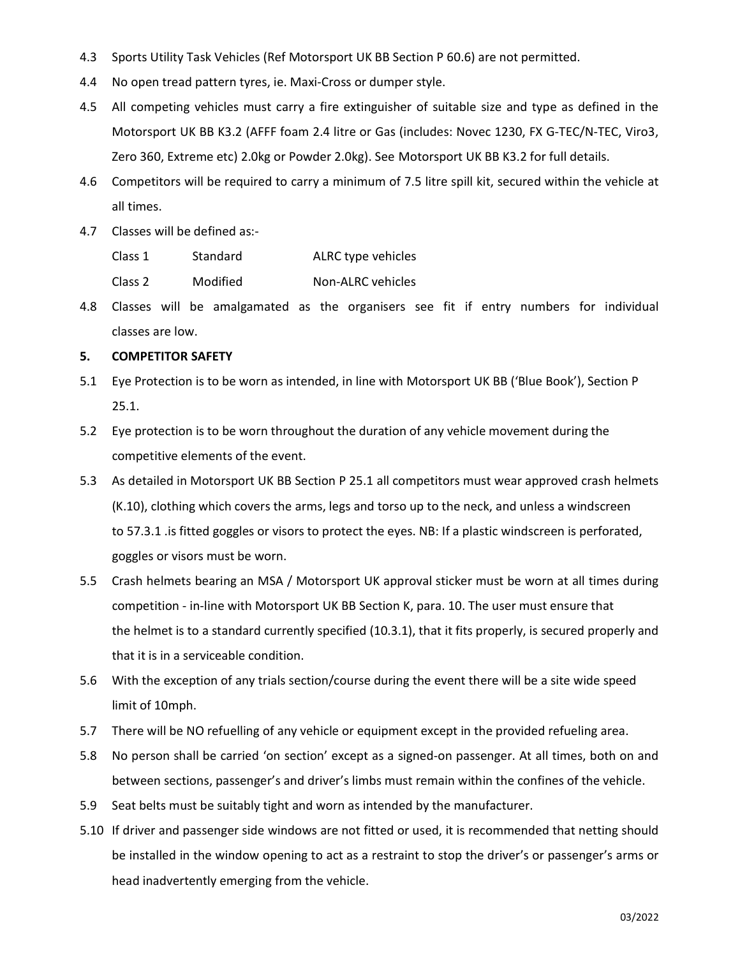- 4.3 Sports Utility Task Vehicles (Ref Motorsport UK BB Section P 60.6) are not permitted.
- 4.4 No open tread pattern tyres, ie. Maxi-Cross or dumper style.
- 4.5 All competing vehicles must carry a fire extinguisher of suitable size and type as defined in the Motorsport UK BB K3.2 (AFFF foam 2.4 litre or Gas (includes: Novec 1230, FX G-TEC/N-TEC, Viro3, Zero 360, Extreme etc) 2.0kg or Powder 2.0kg). See Motorsport UK BB K3.2 for full details.
- 4.6 Competitors will be required to carry a minimum of 7.5 litre spill kit, secured within the vehicle at all times.
- 4.7 Classes will be defined as:-
	- Class 1 Standard ALRC type vehicles
	- Class 2 Modified Non-ALRC vehicles
- 4.8 Classes will be amalgamated as the organisers see fit if entry numbers for individual classes are low.

# 5. COMPETITOR SAFETY

- 5.1 Eye Protection is to be worn as intended, in line with Motorsport UK BB ('Blue Book'), Section P 25.1.
- 5.2 Eye protection is to be worn throughout the duration of any vehicle movement during the competitive elements of the event.
- 5.3 As detailed in Motorsport UK BB Section P 25.1 all competitors must wear approved crash helmets (K.10), clothing which covers the arms, legs and torso up to the neck, and unless a windscreen to 57.3.1 .is fitted goggles or visors to protect the eyes. NB: If a plastic windscreen is perforated, goggles or visors must be worn.
- 5.5 Crash helmets bearing an MSA / Motorsport UK approval sticker must be worn at all times during competition - in-line with Motorsport UK BB Section K, para. 10. The user must ensure that the helmet is to a standard currently specified (10.3.1), that it fits properly, is secured properly and that it is in a serviceable condition.
- 5.6 With the exception of any trials section/course during the event there will be a site wide speed limit of 10mph.
- 5.7 There will be NO refuelling of any vehicle or equipment except in the provided refueling area.
- 5.8 No person shall be carried 'on section' except as a signed-on passenger. At all times, both on and between sections, passenger's and driver's limbs must remain within the confines of the vehicle.
- 5.9 Seat belts must be suitably tight and worn as intended by the manufacturer.
- 5.10 If driver and passenger side windows are not fitted or used, it is recommended that netting should be installed in the window opening to act as a restraint to stop the driver's or passenger's arms or head inadvertently emerging from the vehicle.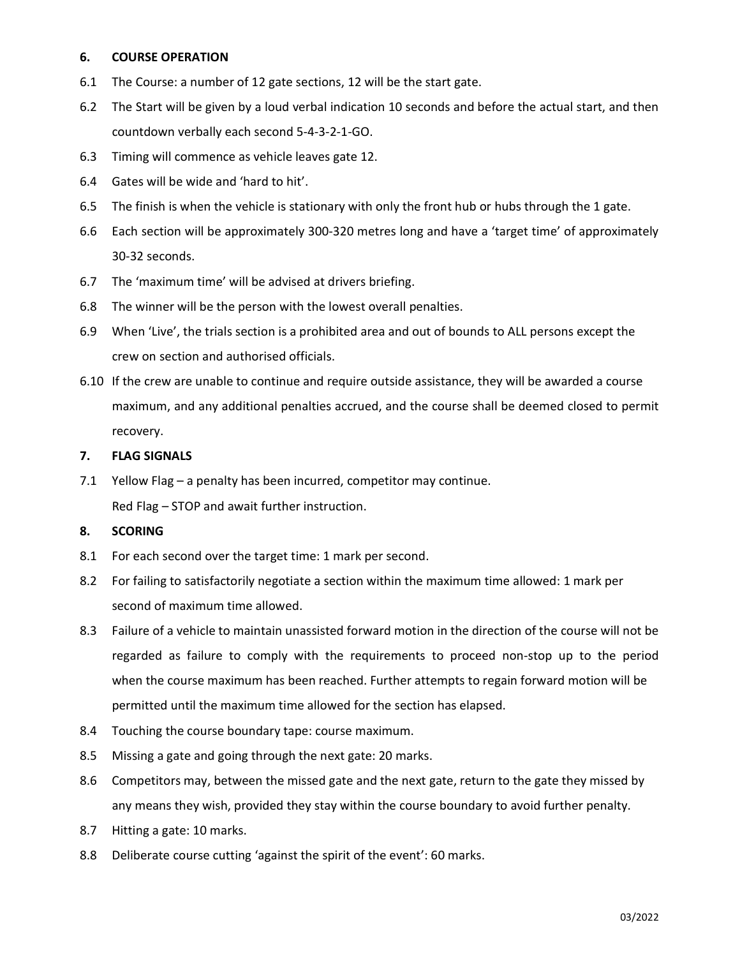### 6. COURSE OPERATION

- 6.1 The Course: a number of 12 gate sections, 12 will be the start gate.
- 6.2 The Start will be given by a loud verbal indication 10 seconds and before the actual start, and then countdown verbally each second 5-4-3-2-1-GO.
- 6.3 Timing will commence as vehicle leaves gate 12.
- 6.4 Gates will be wide and 'hard to hit'.
- 6.5 The finish is when the vehicle is stationary with only the front hub or hubs through the 1 gate.
- 6.6 Each section will be approximately 300-320 metres long and have a 'target time' of approximately 30-32 seconds.
- 6.7 The 'maximum time' will be advised at drivers briefing.
- 6.8 The winner will be the person with the lowest overall penalties.
- 6.9 When 'Live', the trials section is a prohibited area and out of bounds to ALL persons except the crew on section and authorised officials.
- 6.10 If the crew are unable to continue and require outside assistance, they will be awarded a course maximum, and any additional penalties accrued, and the course shall be deemed closed to permit recovery.

#### 7. FLAG SIGNALS

7.1 Yellow Flag – a penalty has been incurred, competitor may continue. Red Flag – STOP and await further instruction.

# 8. SCORING

- 8.1 For each second over the target time: 1 mark per second.
- 8.2 For failing to satisfactorily negotiate a section within the maximum time allowed: 1 mark per second of maximum time allowed.
- 8.3 Failure of a vehicle to maintain unassisted forward motion in the direction of the course will not be regarded as failure to comply with the requirements to proceed non-stop up to the period when the course maximum has been reached. Further attempts to regain forward motion will be permitted until the maximum time allowed for the section has elapsed.
- 8.4 Touching the course boundary tape: course maximum.
- 8.5 Missing a gate and going through the next gate: 20 marks.
- 8.6 Competitors may, between the missed gate and the next gate, return to the gate they missed by any means they wish, provided they stay within the course boundary to avoid further penalty.
- 8.7 Hitting a gate: 10 marks.
- 8.8 Deliberate course cutting 'against the spirit of the event': 60 marks.